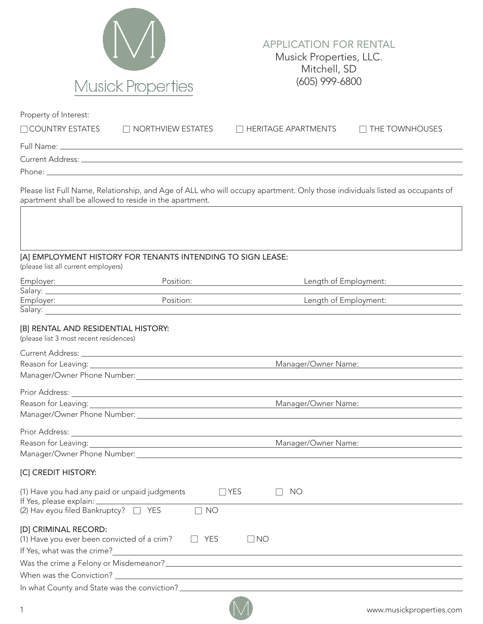

## APPLICATION FOR RENTAL Musick Properties, LLC. Mitchell, SD (605) 999-6800

| Property of Interest:<br>$\Box$ COUNTRY ESTATES                                                    | $\Box$ NORTHVIEW ESTATES                                                                                                                                                                                                             | $\Box$ HERITAGE APARTMENTS                                                                                                   | $\Box$ THE TOWNHOUSES |
|----------------------------------------------------------------------------------------------------|--------------------------------------------------------------------------------------------------------------------------------------------------------------------------------------------------------------------------------------|------------------------------------------------------------------------------------------------------------------------------|-----------------------|
|                                                                                                    |                                                                                                                                                                                                                                      |                                                                                                                              |                       |
|                                                                                                    |                                                                                                                                                                                                                                      |                                                                                                                              |                       |
|                                                                                                    |                                                                                                                                                                                                                                      |                                                                                                                              |                       |
| apartment shall be allowed to reside in the apartment.                                             |                                                                                                                                                                                                                                      | Please list Full Name, Relationship, and Age of ALL who will occupy apartment. Only those individuals listed as occupants of |                       |
|                                                                                                    |                                                                                                                                                                                                                                      |                                                                                                                              |                       |
| (please list all current employers)                                                                | [A] EMPLOYMENT HISTORY FOR TENANTS INTENDING TO SIGN LEASE:                                                                                                                                                                          |                                                                                                                              |                       |
|                                                                                                    | Position:                                                                                                                                                                                                                            | Length of Employment:                                                                                                        |                       |
|                                                                                                    |                                                                                                                                                                                                                                      |                                                                                                                              |                       |
| Employer: Employer:                                                                                | Position:                                                                                                                                                                                                                            | Length of Employment:                                                                                                        |                       |
| [B] RENTAL AND RESIDENTIAL HISTORY:                                                                | Salary: <u>Alexander Alexander Alexander Alexander Alexander Alexander Alexander Alexander Alexander Alexander Alexander Alexander Alexander Alexander Alexander Alexander Alexander Alexander Alexander Alexander Alexander Ale</u> |                                                                                                                              |                       |
| (please list 3 most recent residences)                                                             |                                                                                                                                                                                                                                      |                                                                                                                              |                       |
|                                                                                                    |                                                                                                                                                                                                                                      |                                                                                                                              |                       |
|                                                                                                    |                                                                                                                                                                                                                                      | Manager/Owner Name:                                                                                                          |                       |
|                                                                                                    |                                                                                                                                                                                                                                      |                                                                                                                              |                       |
|                                                                                                    |                                                                                                                                                                                                                                      |                                                                                                                              |                       |
|                                                                                                    |                                                                                                                                                                                                                                      | Manager/Owner Name:                                                                                                          |                       |
|                                                                                                    |                                                                                                                                                                                                                                      |                                                                                                                              |                       |
|                                                                                                    |                                                                                                                                                                                                                                      |                                                                                                                              |                       |
|                                                                                                    |                                                                                                                                                                                                                                      | Manager/Owner Name:                                                                                                          |                       |
| Manager/Owner Phone Number:                                                                        |                                                                                                                                                                                                                                      |                                                                                                                              |                       |
| [C] CREDIT HISTORY:                                                                                |                                                                                                                                                                                                                                      |                                                                                                                              |                       |
| (1) Have you had any paid or unpaid judgments<br>If Yes, please explain: _____                     |                                                                                                                                                                                                                                      | $\Box$ YES<br><b>NO</b>                                                                                                      |                       |
| (2) Hav eyou filed Bankruptcy? □ YES                                                               | <b>NO</b><br>$\vert \ \ \vert$                                                                                                                                                                                                       |                                                                                                                              |                       |
| [D] CRIMINAL RECORD:<br>(1) Have you ever been convicted of a crim?<br>If Yes, what was the crime? | <b>YES</b>                                                                                                                                                                                                                           | $\Box$ NO                                                                                                                    |                       |
| Was the crime a Felony or Misdemeanor?_                                                            |                                                                                                                                                                                                                                      |                                                                                                                              |                       |
|                                                                                                    |                                                                                                                                                                                                                                      |                                                                                                                              |                       |

In what County and State was the conviction?